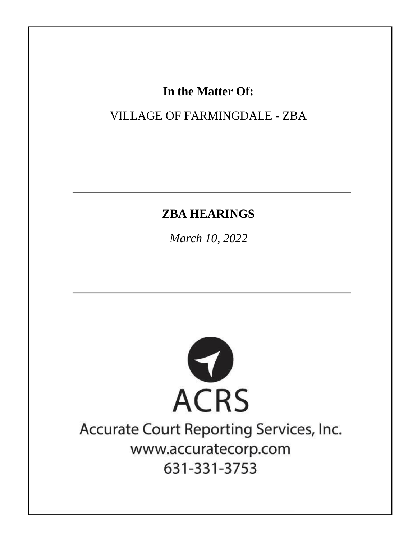# In the Matter Of:

**VILLAGE OF FARMINGDALE - ZBA** 

# **ZBA HEARINGS**

March 10, 2022



# Accurate Court Reporting Services, Inc. www.accuratecorp.com 631-331-3753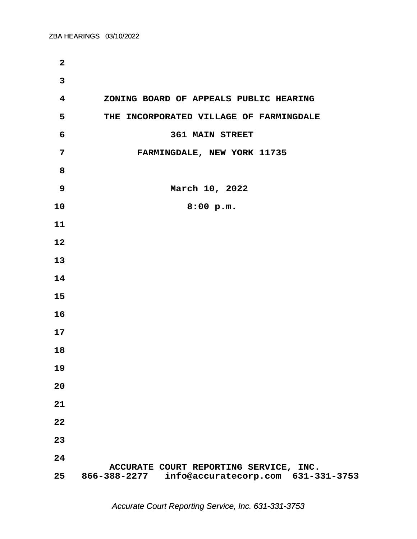| $\mathbf{2}$            |                                                 |
|-------------------------|-------------------------------------------------|
| $\overline{3}$          |                                                 |
| $\overline{\mathbf{4}}$ | ZONING BOARD OF APPEALS PUBLIC HEARING          |
| 5                       | THE INCORPORATED VILLAGE OF FARMINGDALE         |
| 6                       | <b>361 MAIN STREET</b>                          |
| $\overline{7}$          | FARMINGDALE, NEW YORK 11735                     |
| 8                       |                                                 |
| 9                       | March 10, 2022                                  |
| 10                      | 8:00 p.m.                                       |
| 11                      |                                                 |
| 12                      |                                                 |
| 13                      |                                                 |
| 14                      |                                                 |
| 15                      |                                                 |
| 16                      |                                                 |
| 17                      |                                                 |
| 18                      |                                                 |
| 19                      |                                                 |
| 20                      |                                                 |
| 21                      |                                                 |
| 22                      |                                                 |
| 23                      |                                                 |
| 24                      | ACCURATE COURT REPORTING SERVICE, INC.          |
| 25                      | 866-388-2277 info@accuratecorp.com 631-331-3753 |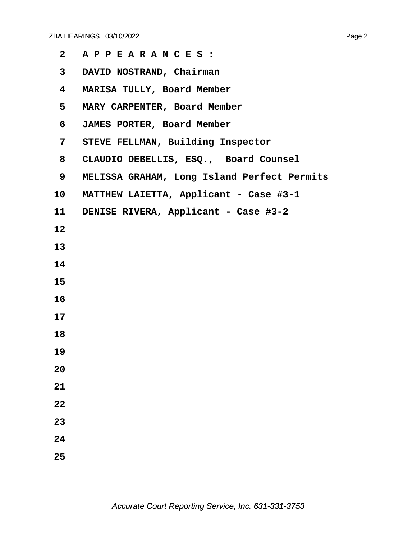| $\mathbf{2}$            | APPEARANCES:                                |
|-------------------------|---------------------------------------------|
| $\mathbf{3}$            | DAVID NOSTRAND, Chairman                    |
| $\overline{\mathbf{4}}$ | MARISA TULLY, Board Member                  |
| 5                       | MARY CARPENTER, Board Member                |
| 6                       | JAMES PORTER, Board Member                  |
| $7\overline{ }$         | STEVE FELLMAN, Building Inspector           |
| 8                       | CLAUDIO DEBELLIS, ESQ., Board Counsel       |
| 9                       | MELISSA GRAHAM, Long Island Perfect Permits |
| 10                      | MATTHEW LAIETTA, Applicant - Case #3-1      |
| 11                      | DENISE RIVERA, Applicant - Case #3-2        |
| 12                      |                                             |
| 13                      |                                             |
| 14                      |                                             |
| 15                      |                                             |
| 16                      |                                             |
| 17                      |                                             |
| 18                      |                                             |
| 19                      |                                             |
| 20                      |                                             |
| 21                      |                                             |
| 22                      |                                             |
| 23                      |                                             |
| 24                      |                                             |
| 25                      |                                             |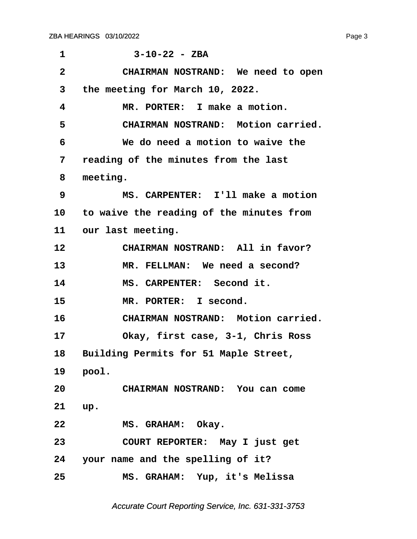<span id="page-3-0"></span>

| $\mathbf 1$  | $3 - 10 - 22 - 2BA$                      |
|--------------|------------------------------------------|
| $\mathbf{2}$ | CHAIRMAN NOSTRAND: We need to open       |
| 3            | the meeting for March 10, 2022.          |
| 4            | MR. PORTER: I make a motion.             |
| 5            | CHAIRMAN NOSTRAND: Motion carried.       |
| 6            | We do need a motion to waive the         |
| 7            | reading of the minutes from the last     |
| 8            | meeting.                                 |
| 9            | MS. CARPENTER: I'll make a motion        |
| 10           | to waive the reading of the minutes from |
|              | 11 our last meeting.                     |
| 12           | CHAIRMAN NOSTRAND: All in favor?         |
| 13           | MR. FELLMAN: We need a second?           |
| 14           | MS. CARPENTER: Second it.                |
| 15           | MR. PORTER: I second.                    |
| 16           | CHAIRMAN NOSTRAND: Motion carried.       |
| 17           | Okay, first case, 3-1, Chris Ross        |
| 18           | Building Permits for 51 Maple Street,    |
| 19           | pool.                                    |
| 20           | CHAIRMAN NOSTRAND: You can come          |
| 21           | up.                                      |
| 22           | MS. GRAHAM: Okay.                        |
| 23           | COURT REPORTER: May I just get           |
|              | 24 your name and the spelling of it?     |
| 25           | MS. GRAHAM: Yup, it's Melissa            |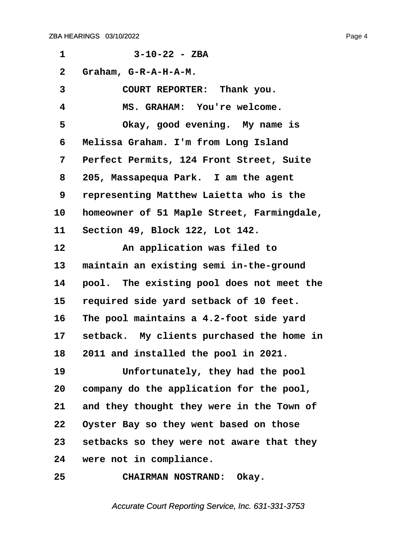<span id="page-4-0"></span>**·1· · · · · · 3-10-22 - ZBA ·2· ·Graham, G-R-A-H-A-M. ·3· · · · · COURT REPORTER:· Thank you. ·4· · · · · MS. GRAHAM:· You're welcome.** 5 **· Okay, good evening.** My name is **·6· ·Melissa Graham. I'm from Long Island ·7· ·Perfect Permits, 124 Front Street, Suite ·8· ·205, Massapequa Park.· I am the agent ·9· ·representing Matthew Laietta who is the 10· ·homeowner of 51 Maple Street, Farmingdale, 11· ·Section 49, Block 122, Lot 142.** 12 **an application was filed to** 13 maintain an existing semi in-the-ground **14· ·pool.· The existing pool does not meet the 15· ·required side yard setback of 10 feet. 16· ·The pool maintains a 4.2-foot side yard** 17 setback. My clients purchased the home in **18· ·2011 and installed the pool in 2021.** 19 **Infortunately, they had the pool 20· ·company do the application for the pool, 21· ·and they thought they were in the Town of 22· ·Oyster Bay so they went based on those 23· ·setbacks so they were not aware that they 24· ·were not in compliance. 25· · · · · CHAIRMAN NOSTRAND:· Okay.**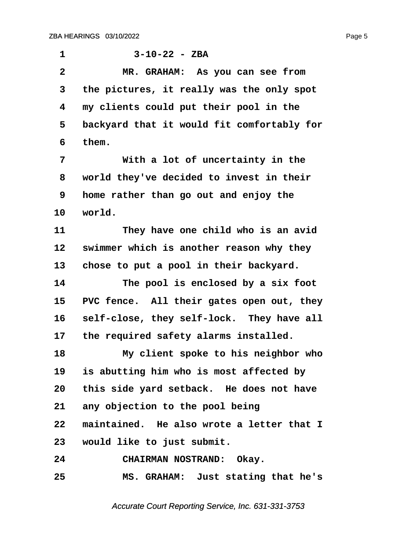<span id="page-5-0"></span>

| $\mathbf 1$  | $3 - 10 - 22 - 2BA$                        |
|--------------|--------------------------------------------|
| $\mathbf{2}$ | MR. GRAHAM: As you can see from            |
| 3            | the pictures, it really was the only spot  |
| 4            | my clients could put their pool in the     |
| 5            | backyard that it would fit comfortably for |
| 6            | them.                                      |
| 7            | With a lot of uncertainty in the           |
| 8            | world they've decided to invest in their   |
| 9            | home rather than go out and enjoy the      |
| 10           | world.                                     |
| 11           | They have one child who is an avid         |
| 12           | swimmer which is another reason why they   |
| 13           | chose to put a pool in their backyard.     |
| 14           | The pool is enclosed by a six foot         |
| 15           | PVC fence. All their gates open out, they  |
| 16           | self-close, they self-lock. They have all  |
| 17           | the required safety alarms installed.      |
| 18           | My client spoke to his neighbor who        |
| 19           | is abutting him who is most affected by    |
| 20           | this side yard setback. He does not have   |
| 21           | any objection to the pool being            |
| 22           | maintained. He also wrote a letter that I  |
| 23           | would like to just submit.                 |
| 24           | CHAIRMAN NOSTRAND: Okay.                   |
| 25           | MS. GRAHAM: Just stating that he's         |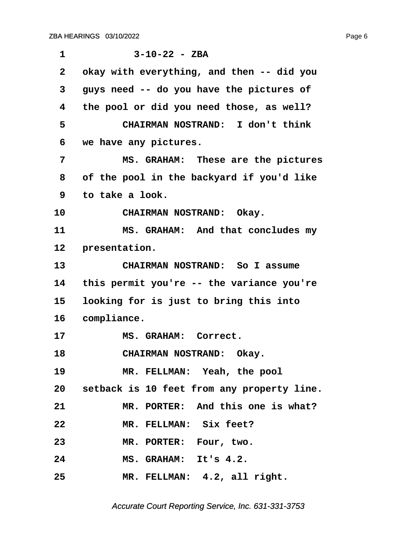<span id="page-6-0"></span>

| 1            | $3 - 10 - 22 - 2BA$                           |
|--------------|-----------------------------------------------|
| $\mathbf{2}$ | okay with everything, and then -- did you     |
| 3            | guys need -- do you have the pictures of      |
| 4            | the pool or did you need those, as well?      |
| 5            | CHAIRMAN NOSTRAND: I don't think              |
| 6            | we have any pictures.                         |
| 7            | MS. GRAHAM: These are the pictures            |
| 8            | of the pool in the backyard if you'd like     |
| 9            | to take a look.                               |
| 10           | CHAIRMAN NOSTRAND: Okay.                      |
| 11           | MS. GRAHAM: And that concludes my             |
| 12           | presentation.                                 |
| 13           | CHAIRMAN NOSTRAND: So I assume                |
| 14           | this permit you're -- the variance you're     |
| 15           | looking for is just to bring this into        |
| 16           | compliance.                                   |
| 17           | MS. GRAHAM: Correct.                          |
| 18           | CHAIRMAN NOSTRAND: Okay.                      |
| 19           | MR. FELLMAN: Yeah, the pool                   |
|              | 20 setback is 10 feet from any property line. |
| 21           | MR. PORTER: And this one is what?             |
| 22           | MR. FELLMAN: Six feet?                        |
| 23           | MR. PORTER: Four, two.                        |
| 24           | MS. GRAHAM: It's 4.2.                         |
| 25           | MR. FELLMAN: 4.2, all right.                  |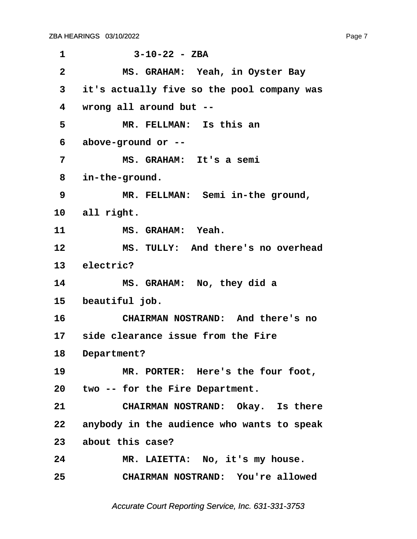<span id="page-7-0"></span>**·1· · · · · · 3-10-22 - ZBA ·2· · · · · MS. GRAHAM:· Yeah, in Oyster Bay ·3· ·it's actually five so the pool company was ·4· ·wrong all around but -- ·5· · · · · MR. FELLMAN:· Is this an ·6· ·above-ground or -- ·7· · · · · MS. GRAHAM:· It's a semi ·8· ·in-the-ground.** 9 MR. FELLMAN: Semi in-the ground, 10 all right. 11 **MS. GRAHAM:** Yeah. 12 MS. TULLY: And there's no overhead 13 electric? **14· · · · · MS. GRAHAM:· No, they did a** 15 beautiful job. **16· · · · · CHAIRMAN NOSTRAND:· And there's no** 17 side clearance issue from the Fire 18 Department? 19 MR. PORTER: Here's the four foot, **20· ·two -- for the Fire Department.** 21 **CHAIRMAN NOSTRAND:** Okay. Is there **22· ·anybody in the audience who wants to speak 23· ·about this case? 24· · · · · MR. LAIETTA:· No, it's my house. 25· · · · · CHAIRMAN NOSTRAND:· You're allowed**

Accurate Court Reporting Service, Inc. 631-331-3753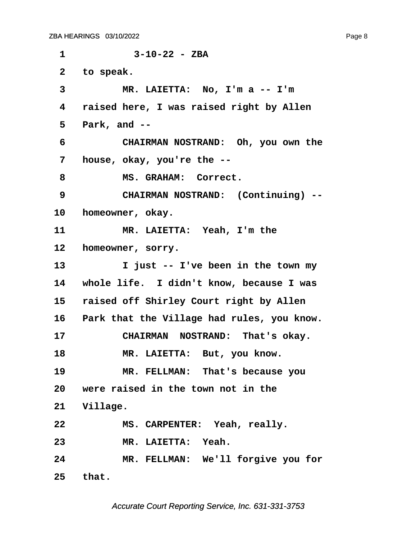<span id="page-8-0"></span>**·1· · · · · · 3-10-22 - ZBA** 2 to speak. **·3· · · · · MR. LAIETTA:· No, I'm a -- I'm ·4· ·raised here, I was raised right by Allen ·5· ·Park, and -- ·6· · · · · CHAIRMAN NOSTRAND:· Oh, you own the ·7· ·house, okay, you're the -- ·8· · · · · MS. GRAHAM:· Correct. ·9· · · · · CHAIRMAN NOSTRAND:· (Continuing) --** 10 **homeowner**, okay. **11· · · · · MR. LAIETTA:· Yeah, I'm the** 12 **homeowner, sorry. 13· · · · · I just -- I've been in the town my** 14 whole life. I didn't know, because I was 15 raised off Shirley Court right by Allen 16 Park that the Village had rules, you know. 17 **CHAIRMAN NOSTRAND: That's okay.** 18 MR. LAIETTA: But, you know. 19 **MR. FELLMAN:** That's because you **20· ·were raised in the town not in the** 21 **Village. 22· · · · · MS. CARPENTER:· Yeah, really. 23· · · · · MR. LAIETTA:· Yeah. 24· · · · · MR. FELLMAN:· We'll forgive you for 25· ·that.**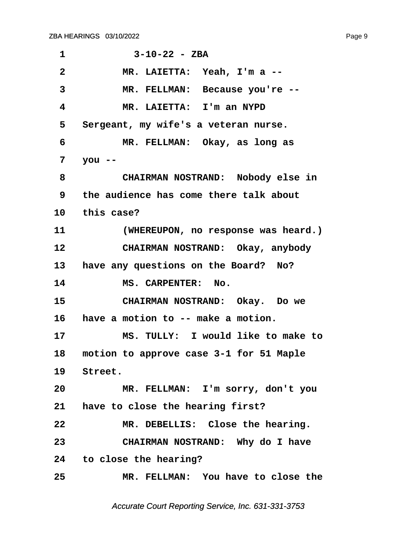<span id="page-9-0"></span>**·1· · · · · · 3-10-22 - ZBA ·2· · · · · MR. LAIETTA:· Yeah, I'm a --** 3 MR. FELLMAN: Because you're --**·4· · · · · MR. LAIETTA:· I'm an NYPD ·5· ·Sergeant, my wife's a veteran nurse. ·6· · · · · MR. FELLMAN:· Okay, as long as ·7· ·you -- ·8· · · · · CHAIRMAN NOSTRAND:· Nobody else in ·9· ·the audience has come there talk about** 10 this case? 11 *(WHEREUPON, no response was heard.)* **12· · · · · CHAIRMAN NOSTRAND:· Okay, anybody** 13 have any questions on the Board? No? 14 MS. CARPENTER: No. 15 **· CHAIRMAN NOSTRAND:** Okay. Do we 16 have a motion to -- make a motion. **17· · · · · MS. TULLY:· I would like to make to** 18 motion to approve case 3-1 for 51 Maple 19 Street. **20· · · · · MR. FELLMAN:· I'm sorry, don't you** 21 **have to close the hearing first? 22· · · · · MR. DEBELLIS:· Close the hearing. 23· · · · · CHAIRMAN NOSTRAND:· Why do I have 24· ·to close the hearing? 25· · · · · MR. FELLMAN:· You have to close the**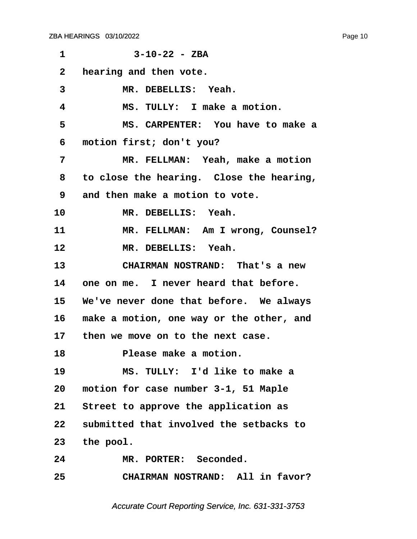<span id="page-10-0"></span>**·1· · · · · · 3-10-22 - ZBA ·2· ·hearing and then vote.** 3 MR. DEBELLIS: Yeah. **·4· · · · · MS. TULLY:· I make a motion. ·5· · · · · MS. CARPENTER:· You have to make a ·6· ·motion first; don't you? ·7· · · · · MR. FELLMAN:· Yeah, make a motion ·8· ·to close the hearing.· Close the hearing, ·9· ·and then make a motion to vote.** 10 MR. DEBELLIS: Yeah. 11 MR. FELLMAN: Am I wrong, Counsel? 12 **MR. DEBELLIS: Yeah. 13· · · · · CHAIRMAN NOSTRAND:· That's a new** 14 one on me. I never heard that before. **15· ·We've never done that before.· We always 16· ·make a motion, one way or the other, and** 17 then we move on to the next case. 18 **Please make a motion. 19· · · · · MS. TULLY:· I'd like to make a 20· ·motion for case number 3-1, 51 Maple** 21 Street to approve the application as **22· ·submitted that involved the setbacks to** 23 the pool. 24 MR. PORTER: Seconded. **25· · · · · CHAIRMAN NOSTRAND:· All in favor?**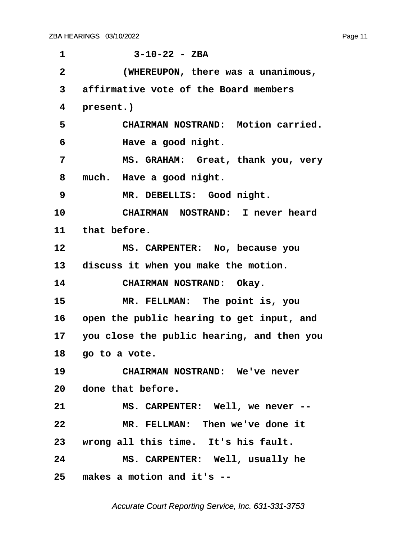<span id="page-11-0"></span>

| 1              | $3 - 10 - 22 - 2BA$                        |
|----------------|--------------------------------------------|
|                |                                            |
| $\overline{2}$ | (WHEREUPON, there was a unanimous,         |
| 3              | affirmative vote of the Board members      |
| 4              | present.)                                  |
| 5              | CHAIRMAN NOSTRAND: Motion carried.         |
| 6              | Have a good night.                         |
| 7              | MS. GRAHAM: Great, thank you, very         |
| 8              | much. Have a good night.                   |
| 9              | MR. DEBELLIS: Good night.                  |
| 10             | CHAIRMAN NOSTRAND: I never heard           |
| 11             | that before.                               |
| 12             | MS. CARPENTER: No, because you             |
|                | 13 discuss it when you make the motion.    |
| 14             | CHAIRMAN NOSTRAND: Okay.                   |
| 15             | MR. FELLMAN: The point is, you             |
| 16             | open the public hearing to get input, and  |
| 17             | you close the public hearing, and then you |
| 18             | go to a vote.                              |
| 19             | CHAIRMAN NOSTRAND: We've never             |
|                | 20 done that before.                       |
| 21             | MS. CARPENTER: Well, we never --           |
| 22             | MR. FELLMAN: Then we've done it            |
|                | 23 wrong all this time. It's his fault.    |
| 24             | MS. CARPENTER: Well, usually he            |
| 25             | makes a motion and it's --                 |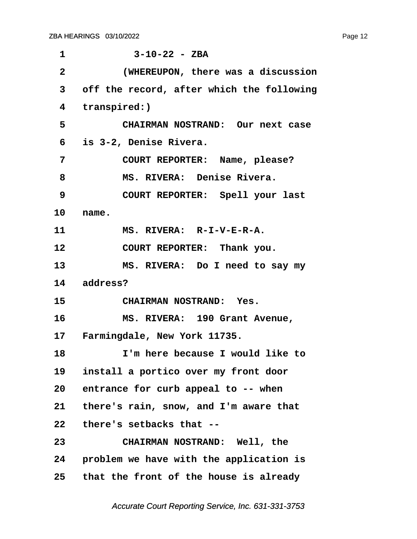<span id="page-12-0"></span>

| 1            | $3 - 10 - 22 - 2BA$                       |
|--------------|-------------------------------------------|
| $\mathbf{2}$ | (WHEREUPON, there was a discussion        |
| 3            | off the record, after which the following |
| 4            | transpired:)                              |
| 5            | CHAIRMAN NOSTRAND: Our next case          |
| 6            | is 3-2, Denise Rivera.                    |
| 7            | COURT REPORTER: Name, please?             |
| 8            | MS. RIVERA: Denise Rivera.                |
| 9            | COURT REPORTER: Spell your last           |
| 10           | name.                                     |
| 11           | MS. RIVERA: R-I-V-E-R-A.                  |
| 12           | COURT REPORTER: Thank you.                |
| 13           | MS. RIVERA: Do I need to say my           |
|              | 14 address?                               |
| 15           | CHAIRMAN NOSTRAND: Yes.                   |
| 16           | MS. RIVERA: 190 Grant Avenue,             |
|              | 17 Farmingdale, New York 11735.           |
| 18           | I'm here because I would like to          |
| 19           | install a portico over my front door      |
|              | 20 entrance for curb appeal to -- when    |
| 21           | there's rain, snow, and I'm aware that    |
| 22           | there's setbacks that --                  |
| 23           | CHAIRMAN NOSTRAND: Well, the              |
| 24           | problem we have with the application is   |
| 25           | that the front of the house is already    |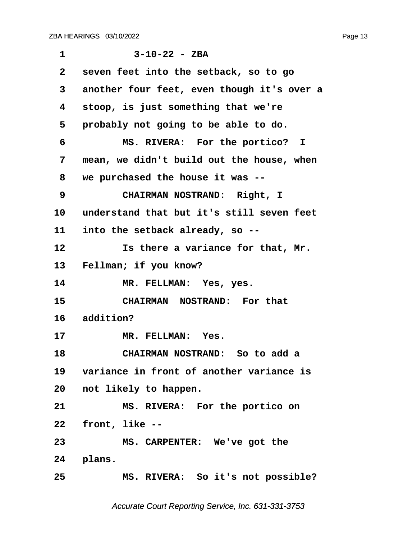<span id="page-13-0"></span>

| $\mathbf 1$  | $3 - 10 - 22 - 2BA$                         |
|--------------|---------------------------------------------|
| $\mathbf{2}$ | seven feet into the setback, so to go       |
| 3            | another four feet, even though it's over a  |
| 4            | stoop, is just something that we're         |
| 5            | probably not going to be able to do.        |
| 6            | MS. RIVERA: For the portico? I              |
| 7            | mean, we didn't build out the house, when   |
| 8            | we purchased the house it was --            |
| 9            | CHAIRMAN NOSTRAND: Right, I                 |
| 10           | understand that but it's still seven feet   |
| 11           | into the setback already, so --             |
| 12           | Is there a variance for that, Mr.           |
| 13           | Fellman; if you know?                       |
| 14           | MR. FELLMAN: Yes, yes.                      |
| 15           | CHAIRMAN NOSTRAND: For that                 |
| 16           | addition?                                   |
| 17           | MR. FELLMAN: Yes.                           |
| 18           | CHAIRMAN NOSTRAND: So to add a              |
|              | 19 variance in front of another variance is |
| 20           | not likely to happen.                       |
| 21           | MS. RIVERA: For the portico on              |
| 22           | front, like --                              |
| 23           | MS. CARPENTER: We've got the                |
|              | 24 plans.                                   |
| 25           | MS. RIVERA: So it's not possible?           |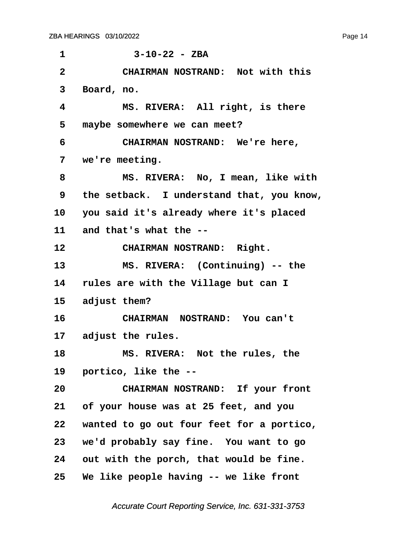<span id="page-14-0"></span>

| 1               | $3 - 10 - 22 - 2BA$                        |
|-----------------|--------------------------------------------|
| $\overline{2}$  | CHAIRMAN NOSTRAND: Not with this           |
| 3               | Board, no.                                 |
| 4               | MS. RIVERA: All right, is there            |
| 5               | maybe somewhere we can meet?               |
| 6               | CHAIRMAN NOSTRAND: We're here,             |
| 7               | we're meeting.                             |
| 8               | MS. RIVERA: No, I mean, like with          |
| 9               | the setback. I understand that, you know,  |
|                 | 10 you said it's already where it's placed |
|                 | 11 and that's what the --                  |
| 12              | CHAIRMAN NOSTRAND: Right.                  |
| 13              | MS. RIVERA: (Continuing) -- the            |
| 14              | rules are with the Village but can I       |
| 15              | adjust them?                               |
| 16              | CHAIRMAN NOSTRAND: You can't               |
|                 | 17 adjust the rules.                       |
| 18              | MS. RIVERA: Not the rules, the             |
| 19              | portico, like the --                       |
| 20              | CHAIRMAN NOSTRAND: If your front           |
| 21              | of your house was at 25 feet, and you      |
| 22              | wanted to go out four feet for a portico,  |
| 23              | we'd probably say fine. You want to go     |
| 24              | out with the porch, that would be fine.    |
| 25 <sub>2</sub> | We like people having -- we like front     |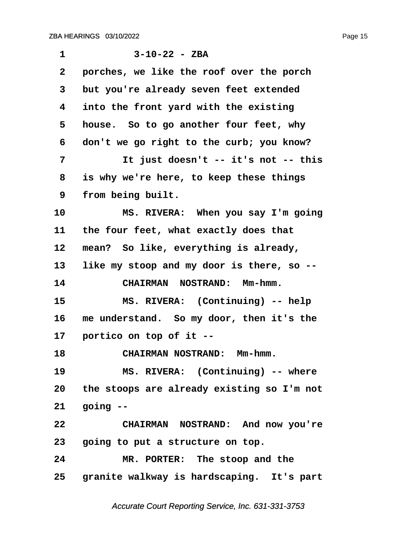<span id="page-15-0"></span>

| 1               | $3 - 10 - 22 - ZBA$                          |
|-----------------|----------------------------------------------|
| $\mathbf{2}$    | porches, we like the roof over the porch     |
| 3               | but you're already seven feet extended       |
| 4               | into the front yard with the existing        |
| 5               | house. So to go another four feet, why       |
| 6               | don't we go right to the curb; you know?     |
| 7               | It just doesn't -- it's not -- this          |
| 8               | is why we're here, to keep these things      |
| 9               | from being built.                            |
| 10              | MS. RIVERA: When you say I'm going           |
| 11              | the four feet, what exactly does that        |
| 12              | mean? So like, everything is already,        |
| 13              | like my stoop and my door is there, so --    |
| 14              | CHAIRMAN NOSTRAND: Mm-hmm.                   |
| 15              | MS. RIVERA: (Continuing) -- help             |
| 16              | me understand. So my door, then it's the     |
| 17              | portico on top of it --                      |
| 18              | CHAIRMAN NOSTRAND: Mm-hmm.                   |
| 19              | MS. RIVERA: (Continuing) -- where            |
| 20              | the stoops are already existing so I'm not   |
| 21              | going --                                     |
| 22              | CHAIRMAN NOSTRAND: And now you're            |
| 23 <sub>o</sub> | going to put a structure on top.             |
| 24              | MR. PORTER: The stoop and the                |
|                 | 25 granite walkway is hardscaping. It's part |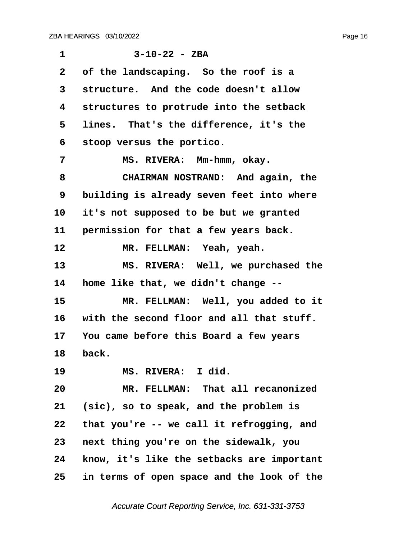<span id="page-16-0"></span>

| $\mathbf 1$  | $3 - 10 - 22 - ZBA$                        |
|--------------|--------------------------------------------|
| $\mathbf{2}$ | of the landscaping. So the roof is a       |
| 3            | structure. And the code doesn't allow      |
| 4            | structures to protrude into the setback    |
| 5            | lines. That's the difference, it's the     |
| 6            | stoop versus the portico.                  |
| 7            | MS. RIVERA: Mm-hmm, okay.                  |
| 8            | CHAIRMAN NOSTRAND: And again, the          |
| 9            | building is already seven feet into where  |
| 10           | it's not supposed to be but we granted     |
| 11           | permission for that a few years back.      |
| 12           | MR. FELLMAN: Yeah, yeah.                   |
| 13           | MS. RIVERA: Well, we purchased the         |
| 14           | home like that, we didn't change --        |
| 15           | MR. FELLMAN: Well, you added to it         |
| 16           | with the second floor and all that stuff.  |
| 17           | You came before this Board a few years     |
| 18           | back.                                      |
| 19           | MS. RIVERA: I did.                         |
| 20           | MR. FELLMAN: That all recanonized          |
| 21           | (sic), so to speak, and the problem is     |
| 22           | that you're -- we call it refrogging, and  |
| 23           | next thing you're on the sidewalk, you     |
| 24           | know, it's like the setbacks are important |
| 25           | in terms of open space and the look of the |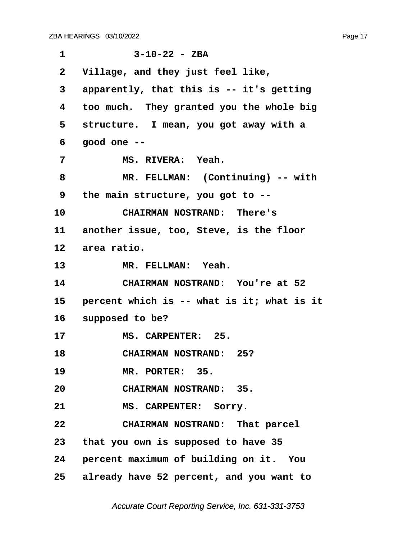<span id="page-17-0"></span>

| $\mathbf 1$     | $3 - 10 - 22 - 2BA$                         |
|-----------------|---------------------------------------------|
| $\mathbf{2}$    | Village, and they just feel like,           |
| 3               | apparently, that this is -- it's getting    |
| 4               | too much. They granted you the whole big    |
| 5               | structure. I mean, you got away with a      |
| 6               | qood one --                                 |
| 7               | MS. RIVERA: Yeah.                           |
| 8               | MR. FELLMAN: (Continuing) -- with           |
| 9               | the main structure, you got to --           |
| 10              | CHAIRMAN NOSTRAND: There's                  |
|                 | 11 another issue, too, Steve, is the floor  |
| 12 <sub>2</sub> | area ratio.                                 |
| 13              | MR. FELLMAN: Yeah.                          |
| 14              | CHAIRMAN NOSTRAND: You're at 52             |
| 15              | percent which is -- what is it; what is it  |
| 16              | supposed to be?                             |
| 17              | MS. CARPENTER: 25.                          |
| 18              | <b>CHAIRMAN NOSTRAND: 25?</b>               |
| 19              | MR. PORTER: 35.                             |
| 20              | CHAIRMAN NOSTRAND: 35.                      |
| 21              | MS. CARPENTER: Sorry.                       |
| 22              | CHAIRMAN NOSTRAND: That parcel              |
|                 | 23 that you own is supposed to have 35      |
|                 | 24 percent maximum of building on it. You   |
|                 | 25 already have 52 percent, and you want to |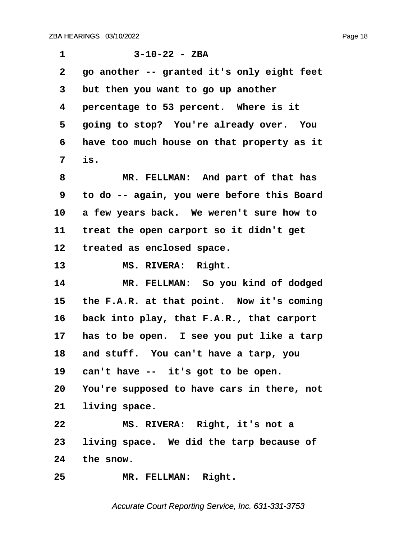<span id="page-18-0"></span>

| $\mathbf 1$  | $3 - 10 - 22 - 2BA$                        |
|--------------|--------------------------------------------|
| $\mathbf{2}$ | go another -- granted it's only eight feet |
| 3            | but then you want to go up another         |
| 4            | percentage to 53 percent. Where is it      |
| 5            | going to stop? You're already over. You    |
| 6            | have too much house on that property as it |
| 7            | is.                                        |
| 8            | MR. FELLMAN: And part of that has          |
| 9            | to do -- again, you were before this Board |
| 10           | a few years back. We weren't sure how to   |
| 11           | treat the open carport so it didn't get    |
| 12           | treated as enclosed space.                 |
| 13           | MS. RIVERA: Right.                         |
| 14           | MR. FELLMAN: So you kind of dodged         |
| 15           | the F.A.R. at that point. Now it's coming  |
| 16           | back into play, that F.A.R., that carport  |
| 17           | has to be open. I see you put like a tarp  |
| 18           | and stuff. You can't have a tarp, you      |
|              | 19 can't have -- it's got to be open.      |
| 20           | You're supposed to have cars in there, not |
| 21           | living space.                              |
| 22           | MS. RIVERA: Right, it's not a              |
| 23           | living space. We did the tarp because of   |
| 24           | the snow.                                  |
| 25           | MR. FELLMAN: Right.                        |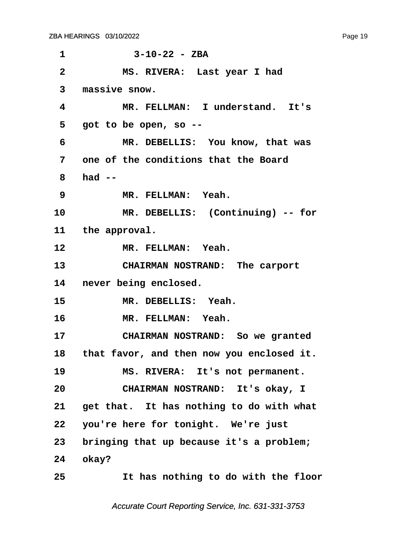<span id="page-19-0"></span>**·1· · · · · · 3-10-22 - ZBA ·2· · · · · MS. RIVERA:· Last year I had ·3· ·massive snow. ·4· · · · · MR. FELLMAN:· I understand.· It's ·5· ·got to be open, so -- ·6· · · · · MR. DEBELLIS:· You know, that was ·7· ·one of the conditions that the Board ·8· ·had -- ·9· · · · · MR. FELLMAN:· Yeah.** 10 MR. DEBELLIS: (Continuing) -- for 11 the approval. 12 **MR. FELLMAN: Yeah.** 13 **CHAIRMAN NOSTRAND:** The carport 14 never being enclosed. 15 MR. DEBELLIS: Yeah. 16 **MR. FELLMAN: Yeah.** 17 **CHAIRMAN NOSTRAND:** So we granted **18· ·that favor, and then now you enclosed it.** 19 MS. RIVERA: It's not permanent. **20· · · · · CHAIRMAN NOSTRAND:· It's okay, I** 21 get that. It has nothing to do with what 22 you're here for tonight. We're just **23· ·bringing that up because it's a problem;** 24 *okay***? 25· · · · · It has nothing to do with the floor**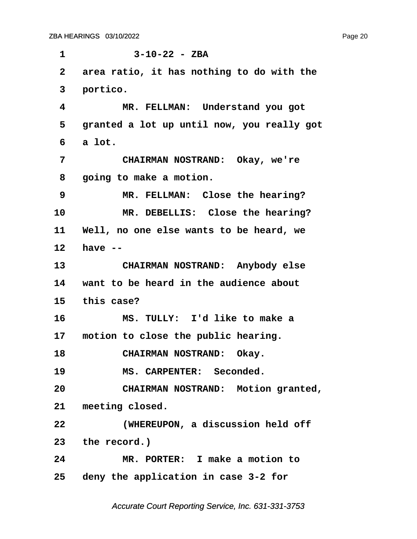<span id="page-20-0"></span>**·1· · · · · · 3-10-22 - ZBA ·2· ·area ratio, it has nothing to do with the** 3 portico. **·4· · · · · MR. FELLMAN:· Understand you got ·5· ·granted a lot up until now, you really got ·6· ·a lot. ·7· · · · · CHAIRMAN NOSTRAND:· Okay, we're ·8· ·going to make a motion. ·9· · · · · MR. FELLMAN:· Close the hearing?** 10 MR. DEBELLIS: Close the hearing? **11· ·Well, no one else wants to be heard, we 12· ·have --** 13 **CHAIRMAN NOSTRAND:** Anybody else **14· ·want to be heard in the audience about 15· ·this case? 16· · · · · MS. TULLY:· I'd like to make a** 17 motion to close the public hearing. 18 **CHAIRMAN NOSTRAND:** Okay. 19 **MS. CARPENTER:** Seconded. **20· · · · · CHAIRMAN NOSTRAND:· Motion granted,** 21 meeting closed. **22· · · · · (WHEREUPON, a discussion held off** 23 the record.) **24· · · · · MR. PORTER:· I make a motion to 25· ·deny the application in case 3-2 for**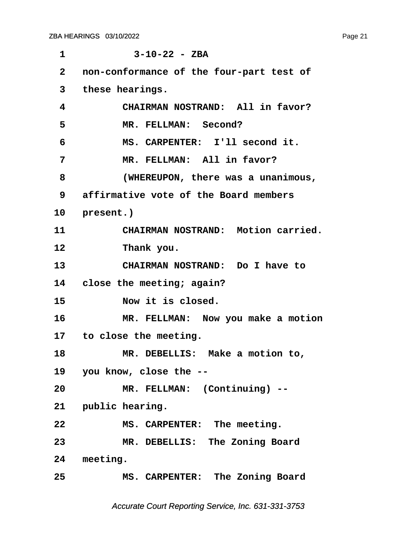| 1            | $3 - 10 - 22 - ZBA$                      |
|--------------|------------------------------------------|
| $\mathbf{2}$ | non-conformance of the four-part test of |
| 3            | these hearings.                          |
| 4            | CHAIRMAN NOSTRAND: All in favor?         |
| 5            | MR. FELLMAN: Second?                     |
| 6            | MS. CARPENTER: I'll second it.           |
| 7            | MR. FELLMAN: All in favor?               |
| 8            | (WHEREUPON, there was a unanimous,       |
| 9            | affirmative vote of the Board members    |
| 10           | present.)                                |
| 11           | CHAIRMAN NOSTRAND: Motion carried.       |
| 12           | Thank you.                               |
| 13           | CHAIRMAN NOSTRAND: Do I have to          |
| 14           | close the meeting; again?                |
| 15           | Now it is closed.                        |
| 16           | MR. FELLMAN: Now you make a motion       |
|              | 17 to close the meeting.                 |
| 18           | MR. DEBELLIS: Make a motion to,          |
|              | 19 you know, close the --                |
| 20           | MR. FELLMAN: (Continuing) --             |
|              | 21 public hearing.                       |
| 22           | MS. CARPENTER: The meeting.              |
| 23           | MR. DEBELLIS: The Zoning Board           |
|              | 24 meeting.                              |
| 25           | MS. CARPENTER: The Zoning Board          |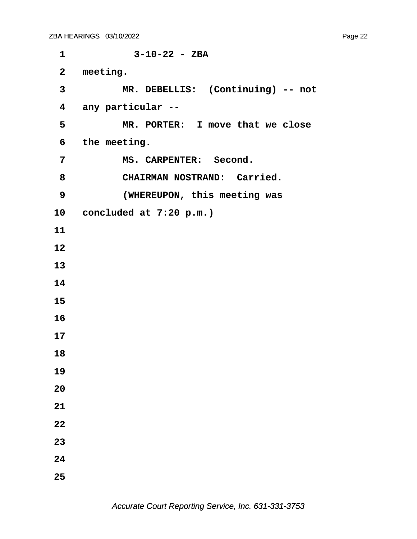**·1· · · · · · 3-10-22 - ZBA** 2 meeting. **·3· · · · · MR. DEBELLIS:· (Continuing) -- not ·4· ·any particular -- ·5· · · · · MR. PORTER:· I move that we close ·6· ·the meeting.** 7 MS. CARPENTER: Second. 8 **CHAIRMAN NOSTRAND: Carried. ·9· · · · · (WHEREUPON, this meeting was 10· ·concluded at 7:20 p.m.) 11 12 13 14 15 16 17 18 19 20 21 22 23 24 25**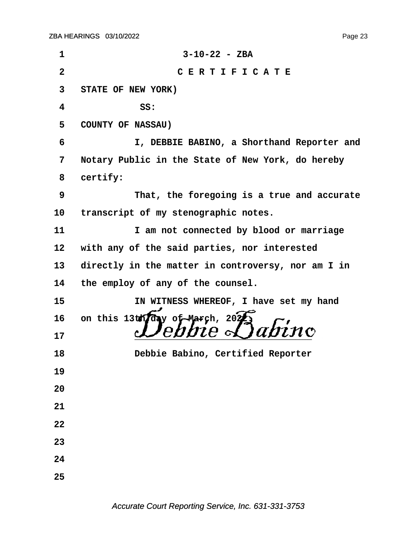| 1                       | $3 - 10 - 22 - ZBA$                                |
|-------------------------|----------------------------------------------------|
| $\overline{\mathbf{2}}$ | CERTIFICATE                                        |
| 3                       | STATE OF NEW YORK)                                 |
| 4                       | SS:                                                |
| 5                       | <b>COUNTY OF NASSAU)</b>                           |
| 6                       | I, DEBBIE BABINO, a Shorthand Reporter and         |
| 7                       | Notary Public in the State of New York, do hereby  |
| 8                       | certify:                                           |
| 9                       | That, the foregoing is a true and accurate         |
| 10                      | transcript of my stenographic notes.               |
| 11                      | I am not connected by blood or marriage            |
| 12                      | with any of the said parties, nor interested       |
| 13                      | directly in the matter in controversy, nor am I in |
| 14                      | the employ of any of the counsel.                  |
| 15                      | IN WITNESS WHEREOF, I have set my hand             |
| 16                      | on this 13th fay of March, 2025 abino              |
| 17                      |                                                    |
| 18                      | Debbie Babino, Certified Reporter                  |
| 19                      |                                                    |
| 20                      |                                                    |
| 21                      |                                                    |
| 22                      |                                                    |
| 23                      |                                                    |
| 24                      |                                                    |
| 25                      |                                                    |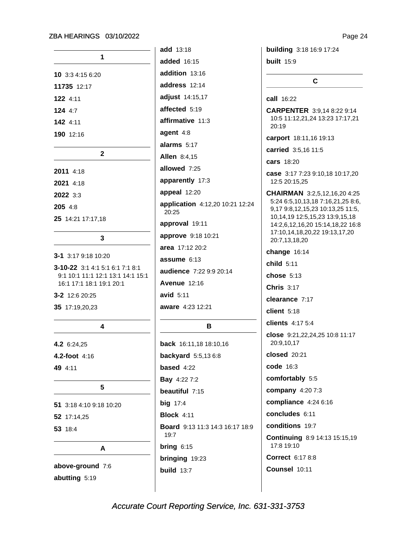| 1                                                                                                |
|--------------------------------------------------------------------------------------------------|
| 10 3:3 4:15 6:20                                                                                 |
| 11735 12:17                                                                                      |
| 122 4:11                                                                                         |
| 124 4:7                                                                                          |
| 142 4:11                                                                                         |
| 190 12:16                                                                                        |
| 2                                                                                                |
| 2011 4:18                                                                                        |
| 2021 4:18                                                                                        |
| 2022 3:3                                                                                         |
| 205 4:8                                                                                          |
| 25 14:21 17:17,18                                                                                |
| 3                                                                                                |
| <b>3-1</b> 3:17 9:18 10:20                                                                       |
| 3-10-22 3:1 4:1 5:1 6:1 7:1 8:1<br>9:1 10:1 11:1 12:1 13:1 14:1 15:1<br>16:1 17:1 18:1 19:1 20:1 |
| 3-2 12:6 20:25                                                                                   |
| 35 17:19,20,23                                                                                   |
| 4                                                                                                |
| 4.2 6:24,25                                                                                      |
| 4.2-foot 4:16                                                                                    |
| 49 4:11                                                                                          |
| 5                                                                                                |
| 51<br>3:18 4:10 9:18 10:20                                                                       |
| 52 17:14,25                                                                                      |
| 53 18:4                                                                                          |
| А                                                                                                |
| above-ground 7:6                                                                                 |

abutting 5:19

add 13:18 added 16:15 addition 13:16 address 12:14 adjust 14:15,17 affected 5:19 affirmative 11:3 agent 4:8 alarms 5:17 **Allen 8:4,15** allowed 7:25 apparently 17:3 appeal 12:20 application 4:12,20 10:21 12:24 20:25 approval 19:11 approve 9:18 10:21 area 17:12 20:2 assume 6:13 audience 7:22 9:9 20:14 **Avenue 12:16** avid  $5:11$ aware 4:23 12:21

## В

back 16:11,18 18:10,16 backyard 5:5,136:8 based 4:22 **Bav** 4:22 7:2 beautiful 7:15 big 17:4 **Block 4:11** Board 9:13 11:3 14:3 16:17 18:9 19:7 bring  $6:15$ bringing 19:23 build  $13:7$ 

building 3:18 16:9 17:24

**built** 15:9

call 16:22

**CARPENTER** 3:9,14 8:22 9:14 10:5 11:12,21,24 13:23 17:17,21 20:19

 $\mathbf{C}$ 

carport 18:11,16 19:13

carried 3:5,16 11:5

cars 18:20

case 3:17 7:23 9:10,18 10:17,20 12:5 20:15.25

CHAIRMAN 3:2,5,12,16,20 4:25 5:24 6:5,10,13,18 7:16,21,25 8:6, 9,17 9:8,12,15,23 10:13,25 11:5, 10, 14, 19 12: 5, 15, 23 13: 9, 15, 18 14:2,6,12,16,20 15:14,18,22 16:8 17:10,14,18,20,22 19:13,17,20 20:7,13,18,20

change  $16:14$ 

child 5:11

chose 5:13

**Chris 3:17** 

clearance 7:17

client  $5:18$ 

clients 4:17 5:4

close 9:21,22,24,25 10:8 11:17 20:9,10,17

**closed** 20:21

code 16:3

comfortably 5:5

company 4:20 7:3

compliance 4:24 6:16

concludes 6:11

conditions 19:7

Continuing 8:9 14:13 15:15,19 17:8 19:10

Correct 6:17 8:8

Counsel 10:11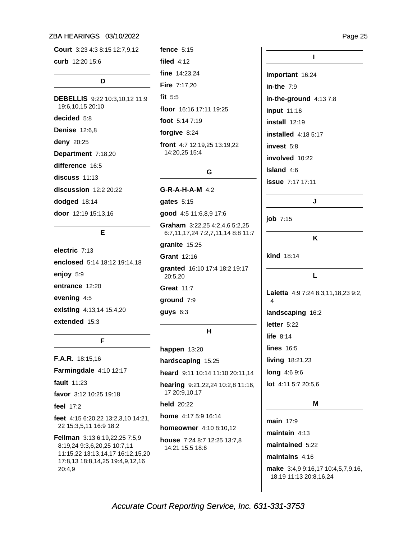Court 3:23 4:3 8:15 12:7,9,12 curb 12:20 15:6 D **DEBELLIS** 9:22 10:3.10.12 11:9 19:6,10,15 20:10 decided 5:8 **Denise** 12:6,8 deny 20:25 Department 7:18,20 difference 16:5  $discuss$  11:13 discussion 12:2 20:22 dodged 18:14 door 12:19 15:13,16

### Е

electric 7:13 enclosed 5:14 18:12 19:14,18 enjoy 5:9 entrance 12:20 evening 4:5 existing 4:13,14 15:4,20 extended 15:3

#### F

F.A.R. 18:15,16 Farmingdale 4:10 12:17 fault 11:23 favor 3:12 10:25 19:18 feel  $17:2$ feet 4:15 6:20,22 13:2,3,10 14:21, 22 15:3,5,11 16:9 18:2 Fellman 3:13 6:19,22,25 7:5,9 8:19,24 9:3,6,20,25 10:7,11 11:15,22 13:13,14,17 16:12,15,20 17:8,13 18:8,14,25 19:4,9,12,16 20:4.9

fence  $5:15$ filed  $4:12$ fine 14:23,24 Fire 7:17,20 fit  $5:5$ floor 16:16 17:11 19:25 foot 5:14 7:19

forgive 8:24

front 4:7 12:19,25 13:19,22 14:20,25 15:4

#### G

 $G-R-A-H-A-M$  4:2

gates 5:15

good 4:5 11:6,8,9 17:6

Graham 3:22,25 4:2,4,6 5:2,25 6:7,11,17,24 7:2,7,11,14 8:8 11:7

granite 15:25

Grant 12:16

granted 16:10 17:4 18:2 19:17 20:5,20

**Great 11:7** 

ground 7:9

 $q$ uys  $6:3$ 

#### $H$

happen  $13:20$ hardscaping 15:25 heard 9:11 10:14 11:10 20:11,14 hearing 9:21,22,24 10:2,8 11:16, 17 20:9,10,17 held 20:22 home 4:17 5:9 16:14 homeowner 4:10 8:10,12 house 7:24 8:7 12:25 13:7,8 14:21 15:5 18:6

# $\mathbf{I}$ important 16:24 in-the  $7:9$ in-the-ground  $4:137:8$ input 11:16  $install$  12:19 **installed** 4:18 5:17 invest 5:8 involved 10:22 Island 4:6

**issue** 7:17 17:11

 $job$  7:15

Κ

J

**kind 18:14** 

Laietta 4:9 7:24 8:3,11,18,23 9:2, landscaping 16:2 letter  $5:22$ life  $8:14$ **lines** 16:5 living 18:21,23 long 4:6 9:6 lot 4:11 5:7 20:5,6

L

#### M

 $main$  17.9 maintain  $4:13$ maintained 5:22 maintains  $4:16$ 

make 3:4,9 9:16,17 10:4,5,7,9,16, 18,19 11:13 20:8,16,24

Accurate Court Reporting Service, Inc. 631-331-3753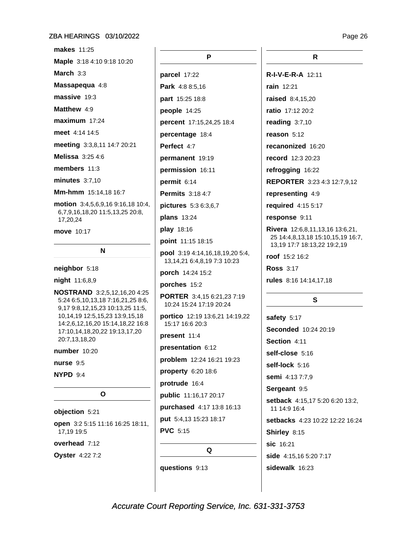**makes** 11:25

Maple 3:18 4:10 9:18 10:20 March  $3:3$ Massapequa 4:8 massive 19:3 Matthew 4:9  $maximum$  17:24 meet 4:14 14:5 meeting 3:3,8,11 14:7 20:21 Melissa 3:25 4:6 members 11:3 minutes  $3:7,10$ Mm-hmm 15:14.18 16:7 motion 3:4,5,6,9,16 9:16,18 10:4, 6,7,9,16,18,20 11:5,13,25 20:8, 17,20,24 move 10:17

neighbor 5:18

night 11:6,8,9

NOSTRAND 3:2,5,12,16,20 4:25 5:24 6:5,10,13,18 7:16,21,25 8:6, 9,17 9:8,12,15,23 10:13,25 11:5, 10,14,19 12:5,15,23 13:9,15,18 14:2,6,12,16,20 15:14,18,22 16:8 17:10,14,18,20,22 19:13,17,20 20:7,13,18,20

N

number 10:20

nurse 9:5

NYPD 9:4

#### $\mathbf{o}$

#### objection 5:21

open 3:2 5:15 11:16 16:25 18:11, 17.19 19:5

overhead 7:12

**Oyster** 4:22 7:2

P parcel 17:22 Park 4:8 8:5,16 part 15:25 18:8 people  $14:25$ percent 17:15,24,25 18:4 percentage 18:4 Perfect 4:7 permanent 19:19 permission 16:11 permit  $6:14$ **Permits** 3:18 4:7 pictures 5:3 6:3,6,7 plans 13:24 play 18:16 point 11:15 18:15 pool 3:19 4:14,16,18,19,20 5:4, 13, 14, 21 6: 4, 8, 19 7: 3 10: 23 porch 14:24 15:2 porches 15:2 PORTER 3:4,15 6:21,23 7:19 10:24 15:24 17:19 20:24 portico 12:19 13:6,21 14:19,22 15:17 16:6 20:3 present 11:4 presentation 6:12 problem 12:24 16:21 19:23 property 6:20 18:6 protrude 16:4 public 11:16,17 20:17 purchased 4:17 13:8 16:13 put 5:4,13 15:23 18:17 **PVC** 5:15

Q

questions 9:13

R

R-I-V-E-R-A 12:11 rain 12:21 raised 8:4.15.20 ratio 17:12 20:2 reading  $3:7,10$ reason 5:12 recanonized 16:20 record 12:3 20:23 refrogging 16:22 **REPORTER** 3:23 4:3 12:7,9,12 representing 4:9 required 4:15 5:17 response 9:11 **Rivera** 12:6,8,11,13,16 13:6,21, 25 14:4,8,13,18 15:10,15,19 16:7, 13,19 17:7 18:13,22 19:2,19 roof 15:2 16:2 **Ross 3:17** rules 8:16 14:14,17,18 S safety 5:17 Seconded 10:24 20:19 Section 4:11 self-close 5:16 self-lock 5:16 semi 4:13 7:7,9 Sergeant 9:5 setback 4:15,17 5:20 6:20 13:2, 11 14:9 16:4 setbacks 4:23 10:22 12:22 16:24 Shirley 8:15 sic 16:21

side 4:15,16 5:20 7:17

sidewalk 16:23

Page 26